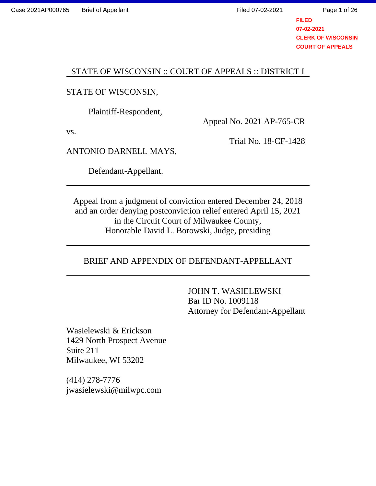Page 1 of 26

**FILED 07-02-2021 CLERK OF WISCONSIN COURT OF APPEALS**

## STATE OF WISCONSIN :: COURT OF APPEALS :: DISTRICT I

### STATE OF WISCONSIN,

Plaintiff-Respondent,

vs.

Appeal No. 2021 AP-765-CR

Trial No. 18-CF-1428

ANTONIO DARNELL MAYS,

Defendant-Appellant.

Appeal from a judgment of conviction entered December 24, 2018 and an order denying postconviction relief entered April 15, 2021 in the Circuit Court of Milwaukee County, Honorable David L. Borowski, Judge, presiding

## BRIEF AND APPENDIX OF DEFENDANT-APPELLANT

JOHN T. WASIELEWSKI Bar ID No. 1009118 Attorney for Defendant-Appellant

Wasielewski & Erickson 1429 North Prospect Avenue Suite 211 Milwaukee, WI 53202

(414) 278-7776 jwasielewski@milwpc.com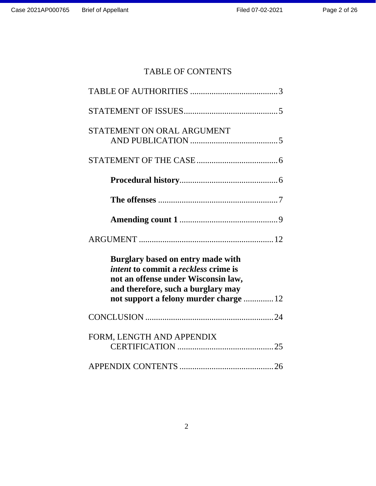# TABLE OF CONTENTS

| STATEMENT ON ORAL ARGUMENT                                                                                                                                           |  |
|----------------------------------------------------------------------------------------------------------------------------------------------------------------------|--|
|                                                                                                                                                                      |  |
|                                                                                                                                                                      |  |
|                                                                                                                                                                      |  |
|                                                                                                                                                                      |  |
|                                                                                                                                                                      |  |
|                                                                                                                                                                      |  |
| Burglary based on entry made with<br><i>intent</i> to commit a <i>reckless</i> crime is<br>not an offense under Wisconsin law,<br>and therefore, such a burglary may |  |
| not support a felony murder charge  12                                                                                                                               |  |
|                                                                                                                                                                      |  |
| FORM, LENGTH AND APPENDIX                                                                                                                                            |  |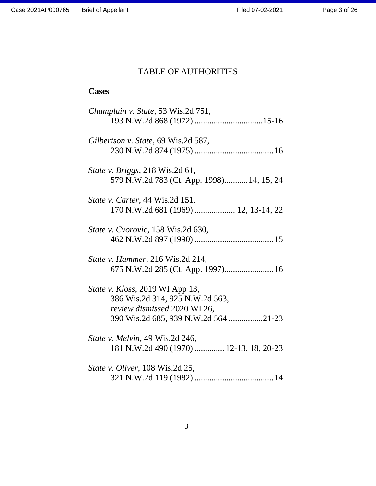# TABLE OF AUTHORITIES

# **Cases**

| Champlain v. State, 53 Wis.2d 751,                                                                                                         |
|--------------------------------------------------------------------------------------------------------------------------------------------|
| Gilbertson v. State, 69 Wis.2d 587,                                                                                                        |
| <i>State v. Briggs</i> , 218 Wis.2d 61,<br>579 N.W.2d 783 (Ct. App. 1998) 14, 15, 24                                                       |
| <i>State v. Carter</i> , 44 Wis.2d 151,<br>170 N.W.2d 681 (1969)  12, 13-14, 22                                                            |
| State v. Cvorovic, 158 Wis.2d 630,                                                                                                         |
| <i>State v. Hammer</i> , 216 Wis.2d 214,                                                                                                   |
| State v. Kloss, 2019 WI App 13,<br>386 Wis.2d 314, 925 N.W.2d 563,<br>review dismissed 2020 WI 26,<br>390 Wis.2d 685, 939 N.W.2d 564 21-23 |
| <i>State v. Melvin</i> , 49 Wis.2d 246,<br>181 N.W.2d 490 (1970)  12-13, 18, 20-23                                                         |
| <i>State v. Oliver</i> , 108 Wis.2d 25,                                                                                                    |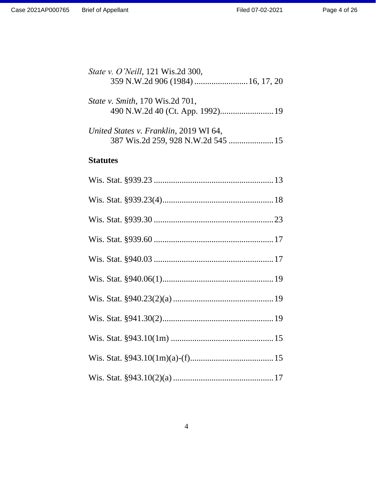| <i>State v. O'Neill</i> , 121 Wis.2d 300, |  |
|-------------------------------------------|--|
| <i>State v. Smith, 170 Wis.2d 701,</i>    |  |
| United States v. Franklin, 2019 WI 64,    |  |

387 Wis.2d 259, 928 N.W.2d 545 .....................15

# **Statutes**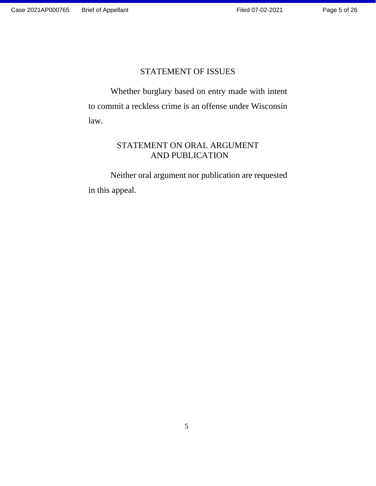## STATEMENT OF ISSUES

Whether burglary based on entry made with intent to commit a reckless crime is an offense under Wisconsin law.

## STATEMENT ON ORAL ARGUMENT AND PUBLICATION

Neither oral argument nor publication are requested in this appeal.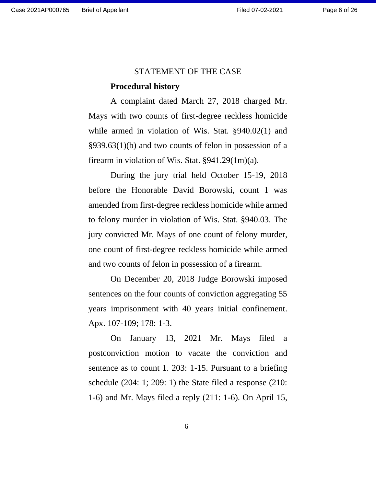#### STATEMENT OF THE CASE

#### **Procedural history**

A complaint dated March 27, 2018 charged Mr. Mays with two counts of first-degree reckless homicide while armed in violation of Wis. Stat. §940.02(1) and §939.63(1)(b) and two counts of felon in possession of a firearm in violation of Wis. Stat. §941.29(1m)(a).

During the jury trial held October 15-19, 2018 before the Honorable David Borowski, count 1 was amended from first-degree reckless homicide while armed to felony murder in violation of Wis. Stat. §940.03. The jury convicted Mr. Mays of one count of felony murder, one count of first-degree reckless homicide while armed and two counts of felon in possession of a firearm.

On December 20, 2018 Judge Borowski imposed sentences on the four counts of conviction aggregating 55 years imprisonment with 40 years initial confinement. Apx. 107-109; 178: 1-3.

On January 13, 2021 Mr. Mays filed a postconviction motion to vacate the conviction and sentence as to count 1. 203: 1-15. Pursuant to a briefing schedule (204: 1; 209: 1) the State filed a response (210: 1-6) and Mr. Mays filed a reply (211: 1-6). On April 15,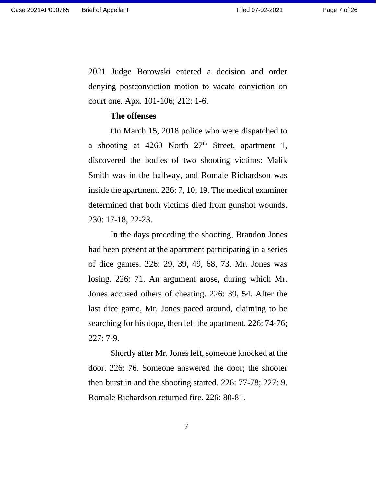Page 7 of 26

2021 Judge Borowski entered a decision and order denying postconviction motion to vacate conviction on court one. Apx. 101-106; 212: 1-6.

#### **The offenses**

On March 15, 2018 police who were dispatched to a shooting at  $4260$  North  $27<sup>th</sup>$  Street, apartment 1, discovered the bodies of two shooting victims: Malik Smith was in the hallway, and Romale Richardson was inside the apartment. 226: 7, 10, 19. The medical examiner determined that both victims died from gunshot wounds. 230: 17-18, 22-23.

In the days preceding the shooting, Brandon Jones had been present at the apartment participating in a series of dice games. 226: 29, 39, 49, 68, 73. Mr. Jones was losing. 226: 71. An argument arose, during which Mr. Jones accused others of cheating. 226: 39, 54. After the last dice game, Mr. Jones paced around, claiming to be searching for his dope, then left the apartment. 226: 74-76; 227: 7-9.

Shortly after Mr. Jones left, someone knocked at the door. 226: 76. Someone answered the door; the shooter then burst in and the shooting started. 226: 77-78; 227: 9. Romale Richardson returned fire. 226: 80-81.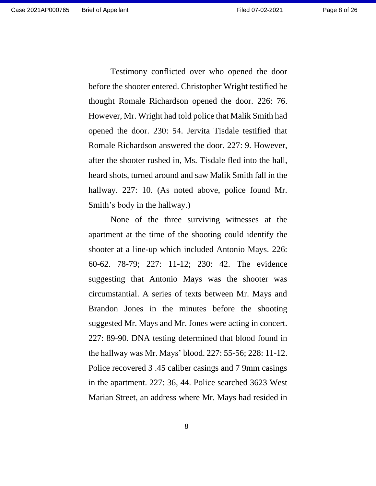Testimony conflicted over who opened the door before the shooter entered. Christopher Wright testified he thought Romale Richardson opened the door. 226: 76. However, Mr. Wright had told police that Malik Smith had opened the door. 230: 54. Jervita Tisdale testified that Romale Richardson answered the door. 227: 9. However, after the shooter rushed in, Ms. Tisdale fled into the hall, heard shots, turned around and saw Malik Smith fall in the hallway. 227: 10. (As noted above, police found Mr. Smith's body in the hallway.)

None of the three surviving witnesses at the apartment at the time of the shooting could identify the shooter at a line-up which included Antonio Mays. 226: 60-62. 78-79; 227: 11-12; 230: 42. The evidence suggesting that Antonio Mays was the shooter was circumstantial. A series of texts between Mr. Mays and Brandon Jones in the minutes before the shooting suggested Mr. Mays and Mr. Jones were acting in concert. 227: 89-90. DNA testing determined that blood found in the hallway was Mr. Mays' blood. 227: 55-56; 228: 11-12. Police recovered 3 .45 caliber casings and 7 9mm casings in the apartment. 227: 36, 44. Police searched 3623 West Marian Street, an address where Mr. Mays had resided in

8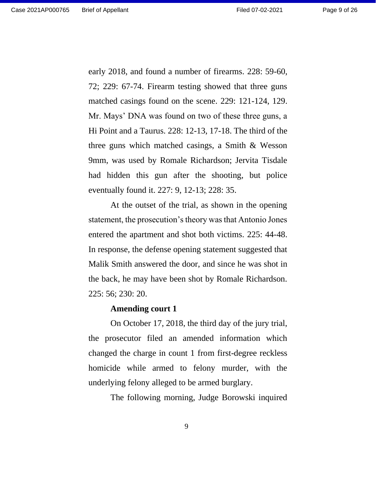early 2018, and found a number of firearms. 228: 59-60, 72; 229: 67-74. Firearm testing showed that three guns matched casings found on the scene. 229: 121-124, 129. Mr. Mays' DNA was found on two of these three guns, a Hi Point and a Taurus. 228: 12-13, 17-18. The third of the three guns which matched casings, a Smith & Wesson 9mm, was used by Romale Richardson; Jervita Tisdale had hidden this gun after the shooting, but police eventually found it. 227: 9, 12-13; 228: 35.

At the outset of the trial, as shown in the opening statement, the prosecution's theory was that Antonio Jones entered the apartment and shot both victims. 225: 44-48. In response, the defense opening statement suggested that Malik Smith answered the door, and since he was shot in the back, he may have been shot by Romale Richardson. 225: 56; 230: 20.

#### **Amending court 1**

On October 17, 2018, the third day of the jury trial, the prosecutor filed an amended information which changed the charge in count 1 from first-degree reckless homicide while armed to felony murder, with the underlying felony alleged to be armed burglary.

The following morning, Judge Borowski inquired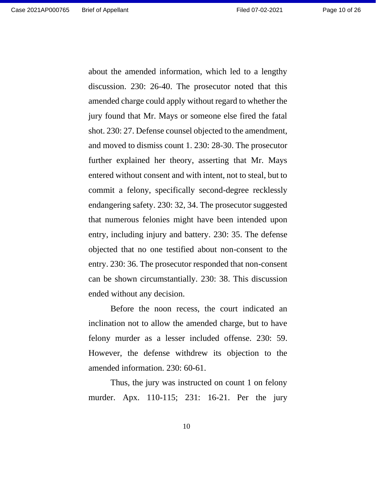about the amended information, which led to a lengthy discussion. 230: 26-40. The prosecutor noted that this amended charge could apply without regard to whether the jury found that Mr. Mays or someone else fired the fatal shot. 230: 27. Defense counsel objected to the amendment, and moved to dismiss count 1. 230: 28-30. The prosecutor further explained her theory, asserting that Mr. Mays entered without consent and with intent, not to steal, but to commit a felony, specifically second-degree recklessly endangering safety. 230: 32, 34. The prosecutor suggested that numerous felonies might have been intended upon entry, including injury and battery. 230: 35. The defense objected that no one testified about non-consent to the entry. 230: 36. The prosecutor responded that non-consent can be shown circumstantially. 230: 38. This discussion ended without any decision.

Before the noon recess, the court indicated an inclination not to allow the amended charge, but to have felony murder as a lesser included offense. 230: 59. However, the defense withdrew its objection to the amended information. 230: 60-61.

Thus, the jury was instructed on count 1 on felony murder. Apx. 110-115; 231: 16-21. Per the jury

10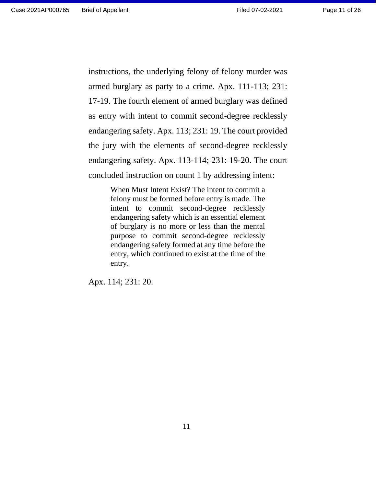Page 11 of 26

instructions, the underlying felony of felony murder was armed burglary as party to a crime. Apx. 111-113; 231: 17-19. The fourth element of armed burglary was defined as entry with intent to commit second-degree recklessly endangering safety. Apx. 113; 231: 19. The court provided the jury with the elements of second-degree recklessly endangering safety. Apx. 113-114; 231: 19-20. The court concluded instruction on count 1 by addressing intent:

> When Must Intent Exist? The intent to commit a felony must be formed before entry is made. The intent to commit second-degree recklessly endangering safety which is an essential element of burglary is no more or less than the mental purpose to commit second-degree recklessly endangering safety formed at any time before the entry, which continued to exist at the time of the entry.

Apx. 114; 231: 20.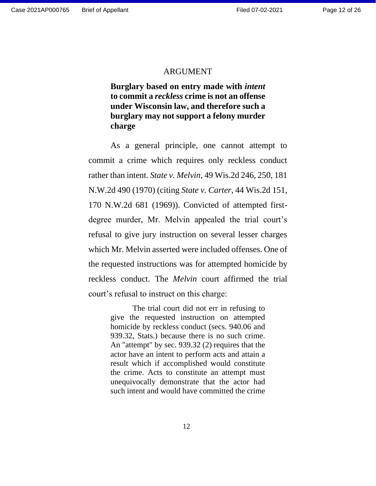#### ARGUMENT

**Burglary based on entry made with** *intent* **to commit a** *reckless* **crime is not an offense under Wisconsin law, and therefore such a burglary may not support a felony murder charge**

As a general principle, one cannot attempt to commit a crime which requires only reckless conduct rather than intent. *State v. Melvin*, 49 Wis.2d 246, 250, 181 N.W.2d 490 (1970) (citing *State v. Carter*, 44 Wis.2d 151, 170 N.W.2d 681 (1969)). Convicted of attempted firstdegree murder, Mr. Melvin appealed the trial court's refusal to give jury instruction on several lesser charges which Mr. Melvin asserted were included offenses. One of the requested instructions was for attempted homicide by reckless conduct. The *Melvin* court affirmed the trial court's refusal to instruct on this charge:

> The trial court did not err in refusing to give the requested instruction on attempted homicide by reckless conduct (secs. 940.06 and 939.32, Stats.) because there is no such crime. An "attempt" by sec. 939.32 (2) requires that the actor have an intent to perform acts and attain a result which if accomplished would constitute the crime. Acts to constitute an attempt must unequivocally demonstrate that the actor had such intent and would have committed the crime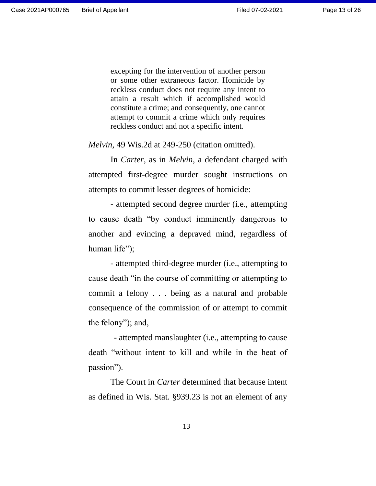excepting for the intervention of another person or some other extraneous factor. Homicide by reckless conduct does not require any intent to attain a result which if accomplished would constitute a crime; and consequently, one cannot attempt to commit a crime which only requires reckless conduct and not a specific intent.

*Melvin*, 49 Wis.2d at 249-250 (citation omitted).

In *Carter*, as in *Melvin*, a defendant charged with attempted first-degree murder sought instructions on attempts to commit lesser degrees of homicide:

- attempted second degree murder (i.e., attempting to cause death "by conduct imminently dangerous to another and evincing a depraved mind, regardless of human life");

- attempted third-degree murder (i.e., attempting to cause death "in the course of committing or attempting to commit a felony . . . being as a natural and probable consequence of the commission of or attempt to commit the felony"); and,

- attempted manslaughter (i.e., attempting to cause death "without intent to kill and while in the heat of passion").

The Court in *Carter* determined that because intent as defined in Wis. Stat. §939.23 is not an element of any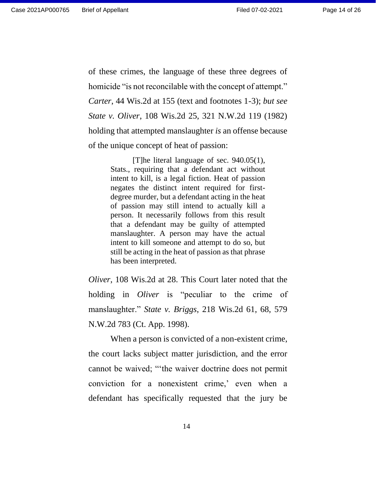Page 14 of 26

of these crimes, the language of these three degrees of homicide "is not reconcilable with the concept of attempt." *Carter*, 44 Wis.2d at 155 (text and footnotes 1-3); *but see State v. Oliver*, 108 Wis.2d 25, 321 N.W.2d 119 (1982) holding that attempted manslaughter *is* an offense because of the unique concept of heat of passion:

> [T]he literal language of sec. 940.05(1), Stats., requiring that a defendant act without intent to kill, is a legal fiction. Heat of passion negates the distinct intent required for firstdegree murder, but a defendant acting in the heat of passion may still intend to actually kill a person. It necessarily follows from this result that a defendant may be guilty of attempted manslaughter. A person may have the actual intent to kill someone and attempt to do so, but still be acting in the heat of passion as that phrase has been interpreted.

*Oliver*, 108 Wis.2d at 28. This Court later noted that the holding in *Oliver* is "peculiar to the crime of manslaughter." *State v. Briggs*, 218 Wis.2d 61, 68, 579 N.W.2d 783 (Ct. App. 1998).

When a person is convicted of a non-existent crime, the court lacks subject matter jurisdiction, and the error cannot be waived; "'the waiver doctrine does not permit conviction for a nonexistent crime,' even when a defendant has specifically requested that the jury be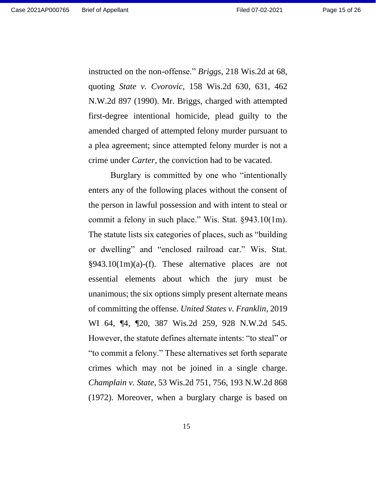instructed on the non-offense." *Briggs*, 218 Wis.2d at 68, quoting *State v. Cvorovic*, 158 Wis.2d 630, 631, 462 N.W.2d 897 (1990). Mr. Briggs, charged with attempted first-degree intentional homicide, plead guilty to the amended charged of attempted felony murder pursuant to a plea agreement; since attempted felony murder is not a crime under *Carter*, the conviction had to be vacated.

Burglary is committed by one who "intentionally enters any of the following places without the consent of the person in lawful possession and with intent to steal or commit a felony in such place." Wis. Stat. §943.10(1m). The statute lists six categories of places, such as "building or dwelling" and "enclosed railroad car." Wis. Stat. §943.10(1m)(a)-(f). These alternative places are not essential elements about which the jury must be unanimous; the six options simply present alternate means of committing the offense. *United States v. Franklin*, 2019 WI 64, ¶4, ¶20, 387 Wis.2d 259, 928 N.W.2d 545. However, the statute defines alternate intents: "to steal" or "to commit a felony." These alternatives set forth separate crimes which may not be joined in a single charge. *Champlain v. State*, 53 Wis.2d 751, 756, 193 N.W.2d 868 (1972). Moreover, when a burglary charge is based on

15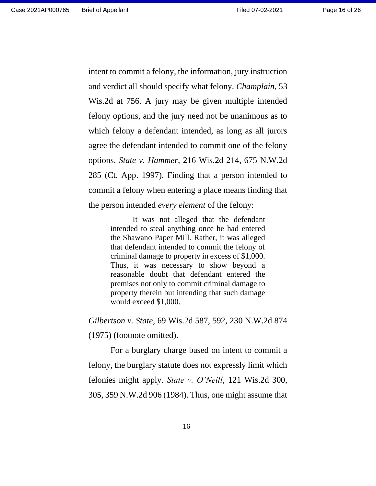intent to commit a felony, the information, jury instruction and verdict all should specify what felony. *Champlain*, 53 Wis.2d at 756. A jury may be given multiple intended felony options, and the jury need not be unanimous as to which felony a defendant intended, as long as all jurors agree the defendant intended to commit one of the felony options. *State v. Hammer*, 216 Wis.2d 214, 675 N.W.2d 285 (Ct. App. 1997). Finding that a person intended to commit a felony when entering a place means finding that the person intended *every element* of the felony:

> It was not alleged that the defendant intended to steal anything once he had entered the Shawano Paper Mill. Rather, it was alleged that defendant intended to commit the felony of criminal damage to property in excess of \$1,000. Thus, it was necessary to show beyond a reasonable doubt that defendant entered the premises not only to commit criminal damage to property therein but intending that such damage would exceed \$1,000.

*Gilbertson v. State*, 69 Wis.2d 587, 592, 230 N.W.2d 874 (1975) (footnote omitted).

For a burglary charge based on intent to commit a felony, the burglary statute does not expressly limit which felonies might apply. *State v. O'Neill*, 121 Wis.2d 300, 305, 359 N.W.2d 906 (1984). Thus, one might assume that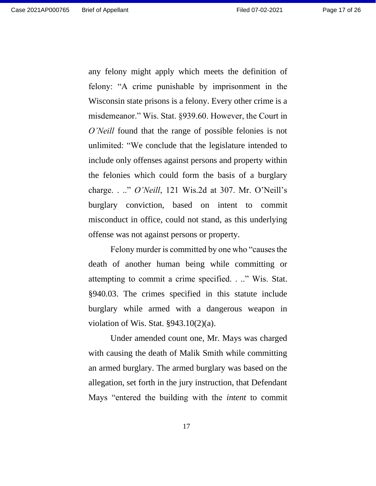any felony might apply which meets the definition of felony: "A crime punishable by imprisonment in the Wisconsin state prisons is a felony. Every other crime is a misdemeanor." Wis. Stat. §939.60. However, the Court in *O'Neill* found that the range of possible felonies is not unlimited: "We conclude that the legislature intended to include only offenses against persons and property within the felonies which could form the basis of a burglary charge. . .." *O'Neill*, 121 Wis.2d at 307. Mr. O'Neill's burglary conviction, based on intent to commit misconduct in office, could not stand, as this underlying offense was not against persons or property.

Felony murder is committed by one who "causes the death of another human being while committing or attempting to commit a crime specified. . .." Wis. Stat. §940.03. The crimes specified in this statute include burglary while armed with a dangerous weapon in violation of Wis. Stat. §943.10(2)(a).

Under amended count one, Mr. Mays was charged with causing the death of Malik Smith while committing an armed burglary. The armed burglary was based on the allegation, set forth in the jury instruction, that Defendant Mays "entered the building with the *intent* to commit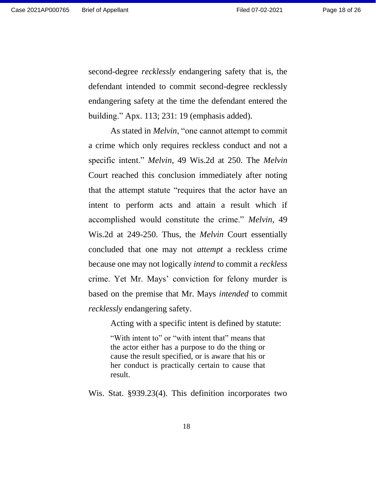second-degree *recklessly* endangering safety that is, the defendant intended to commit second-degree recklessly endangering safety at the time the defendant entered the building." Apx. 113; 231: 19 (emphasis added).

As stated in *Melvin*, "one cannot attempt to commit a crime which only requires reckless conduct and not a specific intent." *Melvin*, 49 Wis.2d at 250. The *Melvin* Court reached this conclusion immediately after noting that the attempt statute "requires that the actor have an intent to perform acts and attain a result which if accomplished would constitute the crime." *Melvin*, 49 Wis.2d at 249-250. Thus, the *Melvin* Court essentially concluded that one may not *attempt* a reckless crime because one may not logically *intend* to commit a *reckless* crime. Yet Mr. Mays' conviction for felony murder is based on the premise that Mr. Mays *intended* to commit *recklessly* endangering safety.

Acting with a specific intent is defined by statute:

"With intent to" or "with intent that" means that the actor either has a purpose to do the thing or cause the result specified, or is aware that his or her conduct is practically certain to cause that result.

Wis. Stat. §939.23(4). This definition incorporates two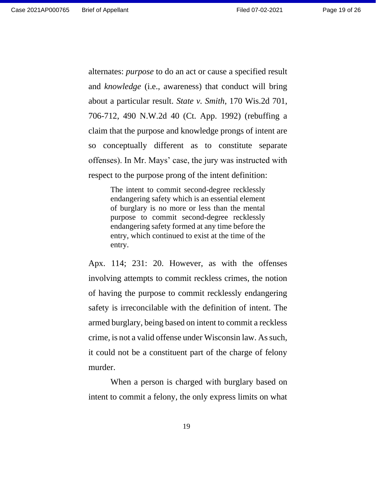alternates: *purpose* to do an act or cause a specified result and *knowledge* (i.e., awareness) that conduct will bring about a particular result. *State v. Smith*, 170 Wis.2d 701, 706-712, 490 N.W.2d 40 (Ct. App. 1992) (rebuffing a claim that the purpose and knowledge prongs of intent are so conceptually different as to constitute separate offenses). In Mr. Mays' case, the jury was instructed with respect to the purpose prong of the intent definition:

> The intent to commit second-degree recklessly endangering safety which is an essential element of burglary is no more or less than the mental purpose to commit second-degree recklessly endangering safety formed at any time before the entry, which continued to exist at the time of the entry.

Apx. 114; 231: 20. However, as with the offenses involving attempts to commit reckless crimes, the notion of having the purpose to commit recklessly endangering safety is irreconcilable with the definition of intent. The armed burglary, being based on intent to commit a reckless crime, is not a valid offense under Wisconsin law. As such, it could not be a constituent part of the charge of felony murder.

When a person is charged with burglary based on intent to commit a felony, the only express limits on what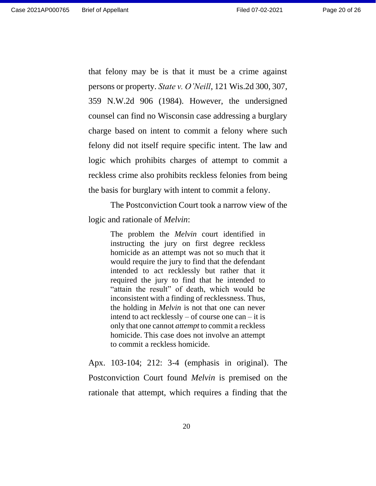that felony may be is that it must be a crime against persons or property. *State v. O'Neill*, 121 Wis.2d 300, 307, 359 N.W.2d 906 (1984). However, the undersigned counsel can find no Wisconsin case addressing a burglary charge based on intent to commit a felony where such felony did not itself require specific intent. The law and logic which prohibits charges of attempt to commit a reckless crime also prohibits reckless felonies from being the basis for burglary with intent to commit a felony.

The Postconviction Court took a narrow view of the logic and rationale of *Melvin*:

> The problem the *Melvin* court identified in instructing the jury on first degree reckless homicide as an attempt was not so much that it would require the jury to find that the defendant intended to act recklessly but rather that it required the jury to find that he intended to "attain the result" of death, which would be inconsistent with a finding of recklessness. Thus, the holding in *Melvin* is not that one can never intend to act recklessly – of course one can – it is only that one cannot *attempt* to commit a reckless homicide. This case does not involve an attempt to commit a reckless homicide.

Apx. 103-104; 212: 3-4 (emphasis in original). The Postconviction Court found *Melvin* is premised on the rationale that attempt, which requires a finding that the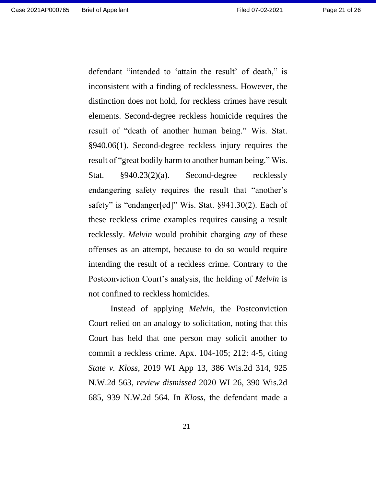defendant "intended to 'attain the result' of death," is inconsistent with a finding of recklessness. However, the distinction does not hold, for reckless crimes have result elements. Second-degree reckless homicide requires the result of "death of another human being." Wis. Stat. §940.06(1). Second-degree reckless injury requires the result of "great bodily harm to another human being." Wis. Stat. §940.23(2)(a). Second-degree recklessly endangering safety requires the result that "another's safety" is "endanger[ed]" Wis. Stat. §941.30(2). Each of these reckless crime examples requires causing a result recklessly. *Melvin* would prohibit charging *any* of these offenses as an attempt, because to do so would require intending the result of a reckless crime. Contrary to the Postconviction Court's analysis, the holding of *Melvin* is not confined to reckless homicides.

Instead of applying *Melvin*, the Postconviction Court relied on an analogy to solicitation, noting that this Court has held that one person may solicit another to commit a reckless crime. Apx. 104-105; 212: 4-5, citing *State v. Kloss*, 2019 WI App 13, 386 Wis.2d 314, 925 N.W.2d 563, *review dismissed* 2020 WI 26, 390 Wis.2d 685, 939 N.W.2d 564. In *Kloss*, the defendant made a

21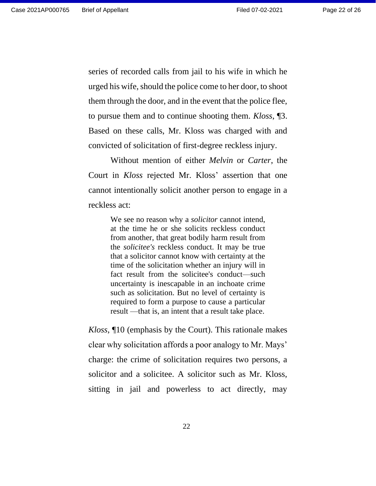series of recorded calls from jail to his wife in which he urged his wife, should the police come to her door, to shoot them through the door, and in the event that the police flee, to pursue them and to continue shooting them. *Kloss*, ¶3. Based on these calls, Mr. Kloss was charged with and convicted of solicitation of first-degree reckless injury.

Without mention of either *Melvin* or *Carter*, the Court in *Kloss* rejected Mr. Kloss' assertion that one cannot intentionally solicit another person to engage in a reckless act:

> We see no reason why a *solicitor* cannot intend, at the time he or she solicits reckless conduct from another, that great bodily harm result from the *solicitee's* reckless conduct. It may be true that a solicitor cannot know with certainty at the time of the solicitation whether an injury will in fact result from the solicitee's conduct—such uncertainty is inescapable in an inchoate crime such as solicitation. But no level of certainty is required to form a purpose to cause a particular result —that is, an intent that a result take place.

*Kloss*, ¶10 (emphasis by the Court). This rationale makes clear why solicitation affords a poor analogy to Mr. Mays' charge: the crime of solicitation requires two persons, a solicitor and a solicitee. A solicitor such as Mr. Kloss, sitting in jail and powerless to act directly, may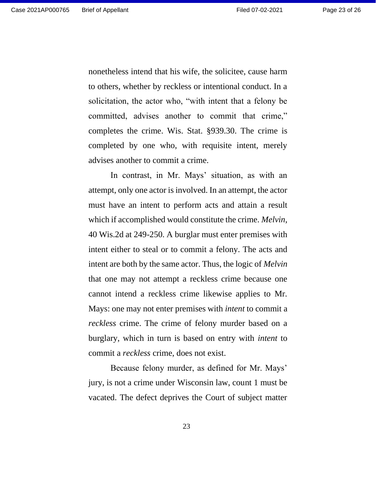nonetheless intend that his wife, the solicitee, cause harm to others, whether by reckless or intentional conduct. In a solicitation, the actor who, "with intent that a felony be committed, advises another to commit that crime," completes the crime. Wis. Stat. §939.30. The crime is completed by one who, with requisite intent, merely advises another to commit a crime.

In contrast, in Mr. Mays' situation, as with an attempt, only one actor is involved. In an attempt, the actor must have an intent to perform acts and attain a result which if accomplished would constitute the crime. *Melvin*, 40 Wis.2d at 249-250. A burglar must enter premises with intent either to steal or to commit a felony. The acts and intent are both by the same actor. Thus, the logic of *Melvin* that one may not attempt a reckless crime because one cannot intend a reckless crime likewise applies to Mr. Mays: one may not enter premises with *intent* to commit a *reckless* crime. The crime of felony murder based on a burglary, which in turn is based on entry with *intent* to commit a *reckless* crime, does not exist.

Because felony murder, as defined for Mr. Mays' jury, is not a crime under Wisconsin law, count 1 must be vacated. The defect deprives the Court of subject matter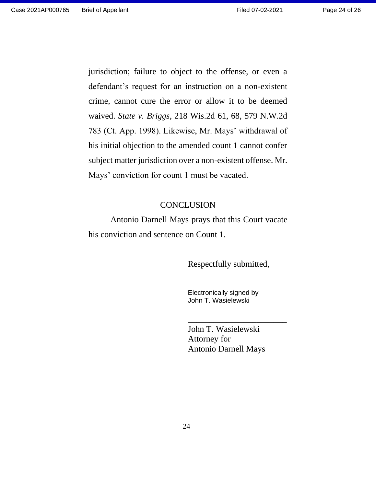jurisdiction; failure to object to the offense, or even a defendant's request for an instruction on a non-existent crime, cannot cure the error or allow it to be deemed waived. *State v. Briggs*, 218 Wis.2d 61, 68, 579 N.W.2d 783 (Ct. App. 1998). Likewise, Mr. Mays' withdrawal of his initial objection to the amended count 1 cannot confer subject matter jurisdiction over a non-existent offense. Mr. Mays' conviction for count 1 must be vacated.

#### **CONCLUSION**

Antonio Darnell Mays prays that this Court vacate his conviction and sentence on Count 1.

Respectfully submitted,

Electronically signed by John T. Wasielewski

John T. Wasielewski Attorney for Antonio Darnell Mays

\_\_\_\_\_\_\_\_\_\_\_\_\_\_\_\_\_\_\_\_\_\_\_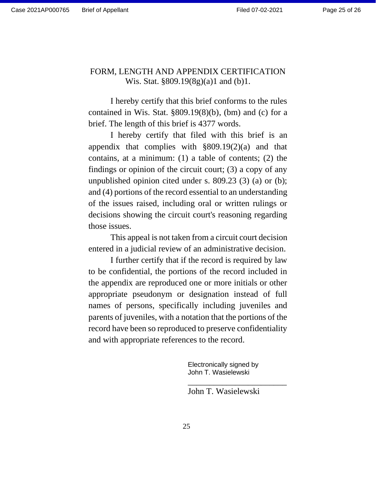## FORM, LENGTH AND APPENDIX CERTIFICATION Wis. Stat. §809.19(8g)(a)1 and (b)1.

I hereby certify that this brief conforms to the rules contained in Wis. Stat. §809.19(8)(b), (bm) and (c) for a brief. The length of this brief is 4377 words.

I hereby certify that filed with this brief is an appendix that complies with  $\S 809.19(2)(a)$  and that contains, at a minimum: (1) a table of contents; (2) the findings or opinion of the circuit court; (3) a copy of any unpublished opinion cited under s. 809.23 (3) (a) or (b); and (4) portions of the record essential to an understanding of the issues raised, including oral or written rulings or decisions showing the circuit court's reasoning regarding those issues.

This appeal is not taken from a circuit court decision entered in a judicial review of an administrative decision.

I further certify that if the record is required by law to be confidential, the portions of the record included in the appendix are reproduced one or more initials or other appropriate pseudonym or designation instead of full names of persons, specifically including juveniles and parents of juveniles, with a notation that the portions of the record have been so reproduced to preserve confidentiality and with appropriate references to the record.

> Electronically signed by John T. Wasielewski

John T. Wasielewski

\_\_\_\_\_\_\_\_\_\_\_\_\_\_\_\_\_\_\_\_\_\_\_